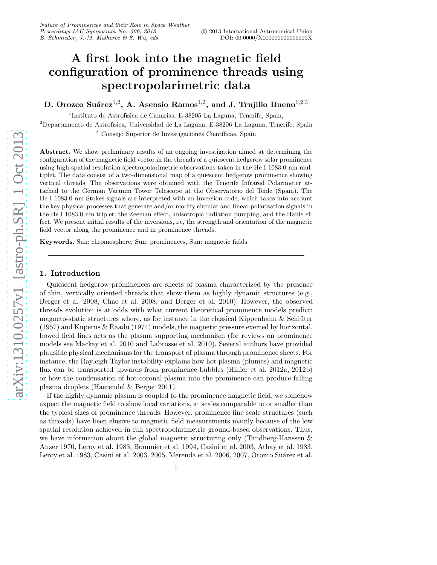# A first look into the magnetic field configuration of prominence threads using spectropolarimetric data

D. Orozco Suárez $^{1,2}$ , A. Asensio Ramos $^{1,2}$ , and J. Trujillo Bueno $^{1,2,3}$ 

<sup>1</sup>Instituto de Astrofísica de Canarias, E-38205 La Laguna, Tenerife, Spain,  $2$ Departamento de Astrofísica, Universidad de La Laguna, E-38206 La Laguna, Tenerife, Spain

<sup>3</sup> Consejo Superior de Investigaciones Científicas, Spain

Abstract. We show preliminary results of an ongoing investigation aimed at determining the configuration of the magnetic field vector in the threads of a quiescent hedgerow solar prominence using high-spatial resolution spectropolarimetric observations taken in the He I 1083.0 nm multiplet. The data consist of a two-dimensional map of a quiescent hedgerow prominence showing vertical threads. The observations were obtained with the Tenerife Infrared Polarimeter attached to the German Vacuum Tower Telescope at the Observatorio del Teide (Spain). The He I 1083.0 nm Stokes signals are interpreted with an inversion code, which takes into account the key physical processes that generate and/or modify circular and linear polarization signals in the He I 1083.0 nm triplet: the Zeeman effect, anisotropic radiation pumping, and the Hanle effect. We present initial results of the inversions, i.e, the strength and orientation of the magnetic field vector along the prominence and in prominence threads.

Keywords. Sun: chromosphere, Sun: prominences, Sun: magnetic fields

## 1. Introduction

Quiescent hedgerow prominences are sheets of plasma characterized by the presence of thin, vertically oriented threads that show them as highly dynamic structures (e.g., Berger et al. 2008, Chae et al. 2008, and Berger et al. 2010). However, the observed threads evolution is at odds with what current theoretical prominence models predict: magneto-static structures where, as for instance in the classical Kippenhahn  $\&$  Schlüter (1957) and Kuperus & Raadu (1974) models, the magnetic pressure exerted by horizontal, bowed field lines acts as the plasma supporting mechanism (for reviews on prominence models see Mackay et al. 2010 and Labrosse et al. 2010). Several authors have provided plausible physical mechanisms for the transport of plasma through prominence sheets. For instance, the Rayleigh-Taylor instability explains how hot plasma (plumes) and magnetic flux can be transported upwards from prominence bubbles (Hillier et al. 2012a, 2012b) or how the condensation of hot coronal plasma into the prominence can produce falling plasma droplets (Haerendel & Berger 2011).

If the highly dynamic plasma is coupled to the prominence magnetic field, we somehow expect the magnetic field to show local variations, at scales comparable to or smaller than the typical sizes of prominence threads. However, prominence fine scale structures (such as threads) have been elusive to magnetic field measurements mainly because of the low spatial resolution achieved in full spectropolarimetric ground-based observations. Thus, we have information about the global magnetic structuring only (Tandberg-Hanssen  $\&$ Anzer 1970, Leroy et al. 1983, Bommier et al. 1994, Casini et al. 2003, Athay et al. 1983, Leroy et al. 1983, Casini et al. 2003, 2005, Merenda et al. 2006, 2007, Orozco Suárez et al.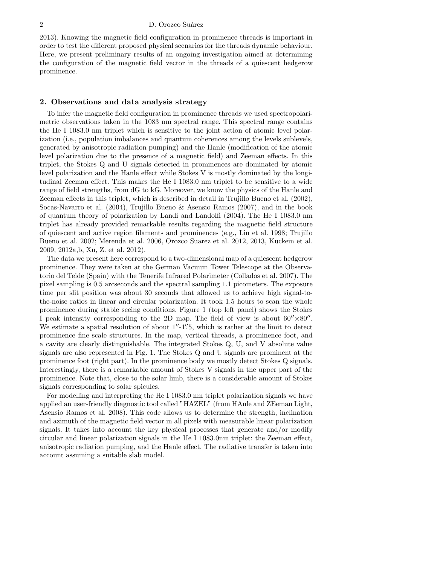## 2 D. Orozco Suárez

2013). Knowing the magnetic field configuration in prominence threads is important in order to test the different proposed physical scenarios for the threads dynamic behaviour. Here, we present preliminary results of an ongoing investigation aimed at determining the configuration of the magnetic field vector in the threads of a quiescent hedgerow prominence.

## 2. Observations and data analysis strategy

To infer the magnetic field configuration in prominence threads we used spectropolarimetric observations taken in the 1083 nm spectral range. This spectral range contains the He I 1083.0 nm triplet which is sensitive to the joint action of atomic level polarization (i.e., population imbalances and quantum coherences among the levels sublevels, generated by anisotropic radiation pumping) and the Hanle (modification of the atomic level polarization due to the presence of a magnetic field) and Zeeman effects. In this triplet, the Stokes Q and U signals detected in prominences are dominated by atomic level polarization and the Hanle effect while Stokes V is mostly dominated by the longitudinal Zeeman effect. This makes the He I 1083.0 nm triplet to be sensitive to a wide range of field strengths, from dG to kG. Moreover, we know the physics of the Hanle and Zeeman effects in this triplet, which is described in detail in Trujillo Bueno et al. (2002), Socas-Navarro et al. (2004), Trujillo Bueno & Asensio Ramos (2007), and in the book of quantum theory of polarization by Landi and Landolfi (2004). The He I 1083.0 nm triplet has already provided remarkable results regarding the magnetic field structure of quiescent and active region filaments and prominences (e.g., Lin et al. 1998; Trujillo Bueno et al. 2002; Merenda et al. 2006, Orozco Suarez et al. 2012, 2013, Kuckein et al. 2009, 2012a,b, Xu, Z. et al. 2012).

The data we present here correspond to a two-dimensional map of a quiescent hedgerow prominence. They were taken at the German Vacuum Tower Telescope at the Observatorio del Teide (Spain) with the Tenerife Infrared Polarimeter (Collados et al. 2007). The pixel sampling is 0.5 arcseconds and the spectral sampling 1.1 picometers. The exposure time per slit position was about 30 seconds that allowed us to achieve high signal-tothe-noise ratios in linear and circular polarization. It took 1.5 hours to scan the whole prominence during stable seeing conditions. Figure 1 (top left panel) shows the Stokes I peak intensity corresponding to the 2D map. The field of view is about  $60'' \times 80''$ . We estimate a spatial resolution of about  $1''$ -1.<sup>7</sup>5, which is rather at the limit to detect prominence fine scale structures. In the map, vertical threads, a prominence foot, and a cavity are clearly distinguishable. The integrated Stokes Q, U, and V absolute value signals are also represented in Fig. 1. The Stokes Q and U signals are prominent at the prominence foot (right part). In the prominence body we mostly detect Stokes Q signals. Interestingly, there is a remarkable amount of Stokes V signals in the upper part of the prominence. Note that, close to the solar limb, there is a considerable amount of Stokes signals corresponding to solar spicules.

For modelling and interpreting the He I 1083.0 nm triplet polarization signals we have applied an user-friendly diagnostic tool called "HAZEL" (from HAnle and ZEeman Light, Asensio Ramos et al. 2008). This code allows us to determine the strength, inclination and azimuth of the magnetic field vector in all pixels with measurable linear polarization signals. It takes into account the key physical processes that generate and/or modify circular and linear polarization signals in the He I 1083.0nm triplet: the Zeeman effect, anisotropic radiation pumping, and the Hanle effect. The radiative transfer is taken into account assuming a suitable slab model.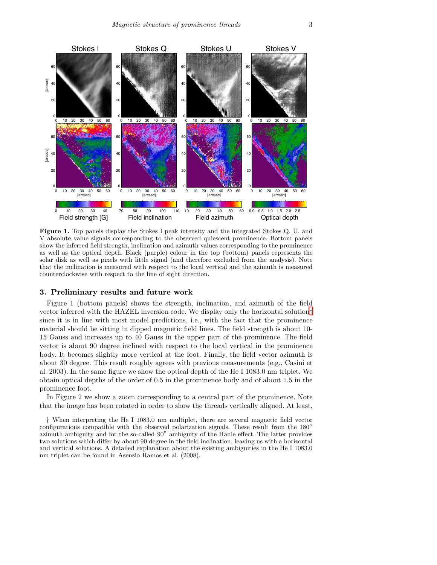

Figure 1. Top panels display the Stokes I peak intensity and the integrated Stokes Q, U, and V absolute value signals corresponding to the observed quiescent prominence. Bottom panels show the inferred field strength, inclination and azimuth values corresponding to the prominence as well as the optical depth. Black (purple) colour in the top (bottom) panels represents the solar disk as well as pixels with little signal (and therefore excluded from the analysis). Note that the inclination is measured with respect to the local vertical and the azimuth is measured counterclockwise with respect to the line of sight direction.

#### 3. Preliminary results and future work

Figure 1 (bottom panels) shows the strength, inclination, and azimuth of the field vector inferred with the HAZEL inversion code. We display only the horizontal solution[†](#page-2-0) since it is in line with most model predictions, i.e., with the fact that the prominence material should be sitting in dipped magnetic field lines. The field strength is about 10- 15 Gauss and increases up to 40 Gauss in the upper part of the prominence. The field vector is about 90 degree inclined with respect to the local vertical in the prominence body. It becomes slightly more vertical at the foot. Finally, the field vector azimuth is about 30 degree. This result roughly agrees with previous measurements (e.g., Casini et al. 2003). In the same figure we show the optical depth of the He I 1083.0 nm triplet. We obtain optical depths of the order of 0.5 in the prominence body and of about 1.5 in the prominence foot.

In Figure 2 we show a zoom corresponding to a central part of the prominence. Note that the image has been rotated in order to show the threads vertically aligned. At least,

<span id="page-2-0"></span>† When interpreting the He I 1083.0 nm multiplet, there are several magnetic field vector configurations compatible with the observed polarization signals. These result from the 180<sup>°</sup> azimuth ambiguity and for the so-called 90° ambiguity of the Hanle effect. The latter provides two solutions which differ by about 90 degree in the field inclination, leaving us with a horizontal and vertical solutions. A detailed explanation about the existing ambiguities in the He I 1083.0 nm triplet can be found in Asensio Ramos et al. (2008).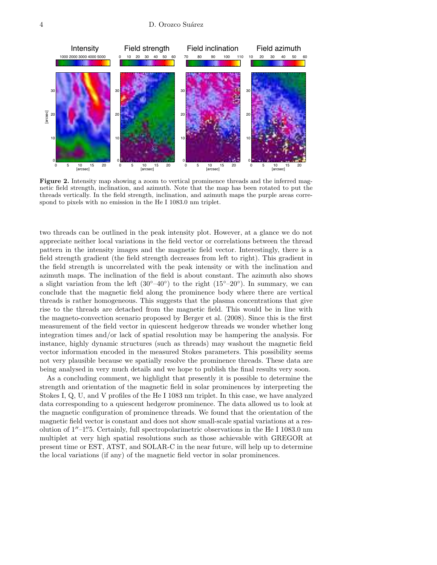

Figure 2. Intensity map showing a zoom to vertical prominence threads and the inferred magnetic field strength, inclination, and azimuth. Note that the map has been rotated to put the threads vertically. In the field strength, inclination, and azimuth maps the purple areas correspond to pixels with no emission in the He I 1083.0 nm triplet.

two threads can be outlined in the peak intensity plot. However, at a glance we do not appreciate neither local variations in the field vector or correlations between the thread pattern in the intensity images and the magnetic field vector. Interestingly, there is a field strength gradient (the field strength decreases from left to right). This gradient in the field strength is uncorrelated with the peak intensity or with the inclination and azimuth maps. The inclination of the field is about constant. The azimuth also shows a slight variation from the left  $(30^{\circ}-40^{\circ})$  to the right  $(15^{\circ}-20^{\circ})$ . In summary, we can conclude that the magnetic field along the prominence body where there are vertical threads is rather homogeneous. This suggests that the plasma concentrations that give rise to the threads are detached from the magnetic field. This would be in line with the magneto-convection scenario proposed by Berger et al. (2008). Since this is the first measurement of the field vector in quiescent hedgerow threads we wonder whether long integration times and/or lack of spatial resolution may be hampering the analysis. For instance, highly dynamic structures (such as threads) may washout the magnetic field vector information encoded in the measured Stokes parameters. This possibility seems not very plausible because we spatially resolve the prominence threads. These data are being analysed in very much details and we hope to publish the final results very soon.

As a concluding comment, we highlight that presently it is possible to determine the strength and orientation of the magnetic field in solar prominences by interpreting the Stokes I, Q, U, and V profiles of the He I 1083 nm triplet. In this case, we have analyzed data corresponding to a quiescent hedgerow prominence. The data allowed us to look at the magnetic configuration of prominence threads. We found that the orientation of the magnetic field vector is constant and does not show small-scale spatial variations at a resolution of 1′′–1. ′′5. Certainly, full spectropolarimetric observations in the He I 1083.0 nm multiplet at very high spatial resolutions such as those achievable with GREGOR at present time or EST, ATST, and SOLAR-C in the near future, will help up to determine the local variations (if any) of the magnetic field vector in solar prominences.